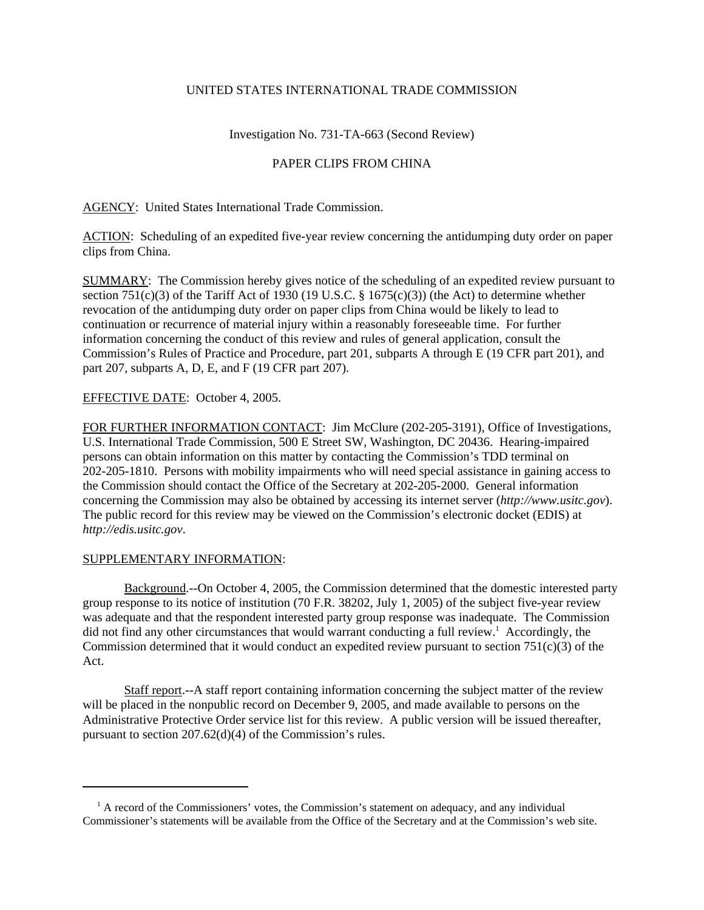### UNITED STATES INTERNATIONAL TRADE COMMISSION

# Investigation No. 731-TA-663 (Second Review)

# PAPER CLIPS FROM CHINA

AGENCY: United States International Trade Commission.

ACTION: Scheduling of an expedited five-year review concerning the antidumping duty order on paper clips from China.

SUMMARY: The Commission hereby gives notice of the scheduling of an expedited review pursuant to section 751(c)(3) of the Tariff Act of 1930 (19 U.S.C. § 1675(c)(3)) (the Act) to determine whether revocation of the antidumping duty order on paper clips from China would be likely to lead to continuation or recurrence of material injury within a reasonably foreseeable time. For further information concerning the conduct of this review and rules of general application, consult the Commission's Rules of Practice and Procedure, part 201, subparts A through E (19 CFR part 201), and part 207, subparts A, D, E, and F (19 CFR part 207).

### EFFECTIVE DATE: October 4, 2005.

FOR FURTHER INFORMATION CONTACT: Jim McClure (202-205-3191), Office of Investigations, U.S. International Trade Commission, 500 E Street SW, Washington, DC 20436. Hearing-impaired persons can obtain information on this matter by contacting the Commission's TDD terminal on 202-205-1810. Persons with mobility impairments who will need special assistance in gaining access to the Commission should contact the Office of the Secretary at 202-205-2000. General information concerning the Commission may also be obtained by accessing its internet server (*http://www.usitc.gov*). The public record for this review may be viewed on the Commission's electronic docket (EDIS) at *http://edis.usitc.gov*.

#### SUPPLEMENTARY INFORMATION:

Background.--On October 4, 2005, the Commission determined that the domestic interested party group response to its notice of institution (70 F.R. 38202, July 1, 2005) of the subject five-year review was adequate and that the respondent interested party group response was inadequate. The Commission did not find any other circumstances that would warrant conducting a full review.<sup>1</sup> Accordingly, the Commission determined that it would conduct an expedited review pursuant to section  $751(c)(3)$  of the Act.

Staff report.--A staff report containing information concerning the subject matter of the review will be placed in the nonpublic record on December 9, 2005, and made available to persons on the Administrative Protective Order service list for this review. A public version will be issued thereafter, pursuant to section 207.62(d)(4) of the Commission's rules.

<sup>&</sup>lt;sup>1</sup> A record of the Commissioners' votes, the Commission's statement on adequacy, and any individual Commissioner's statements will be available from the Office of the Secretary and at the Commission's web site.